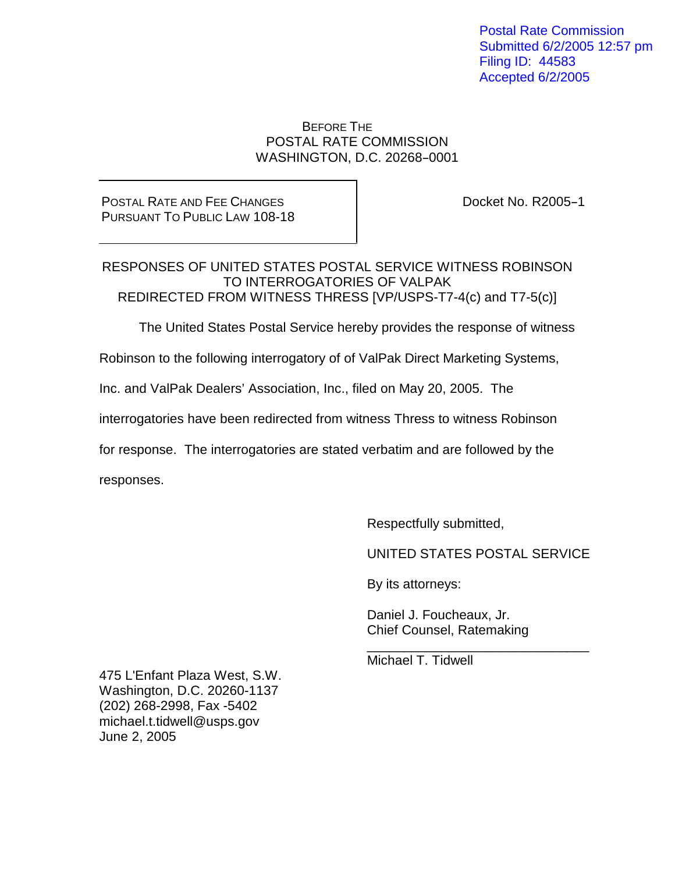Postal Rate Commission Submitted 6/2/2005 12:57 pm Filing ID: 44583 Accepted 6/2/2005

### BEFORE THE POSTAL RATE COMMISSION WASHINGTON, D.C. 20268-0001

POSTAL RATE AND FEE CHANGES PURSUANT TO PUBLIC LAW 108-18 Docket No. R2005-1

### RESPONSES OF UNITED STATES POSTAL SERVICE WITNESS ROBINSON TO INTERROGATORIES OF VALPAK REDIRECTED FROM WITNESS THRESS [VP/USPS-T7-4(c) and T7-5(c)]

The United States Postal Service hereby provides the response of witness

Robinson to the following interrogatory of of ValPak Direct Marketing Systems,

Inc. and ValPak Dealers' Association, Inc., filed on May 20, 2005. The

interrogatories have been redirected from witness Thress to witness Robinson

for response. The interrogatories are stated verbatim and are followed by the

responses.

Respectfully submitted,

UNITED STATES POSTAL SERVICE

\_\_\_\_\_\_\_\_\_\_\_\_\_\_\_\_\_\_\_\_\_\_\_\_\_\_\_\_\_\_

By its attorneys:

Daniel J. Foucheaux, Jr. Chief Counsel, Ratemaking

Michael T. Tidwell

475 L'Enfant Plaza West, S.W. Washington, D.C. 20260-1137 (202) 268-2998, Fax -5402 michael.t.tidwell@usps.gov June 2, 2005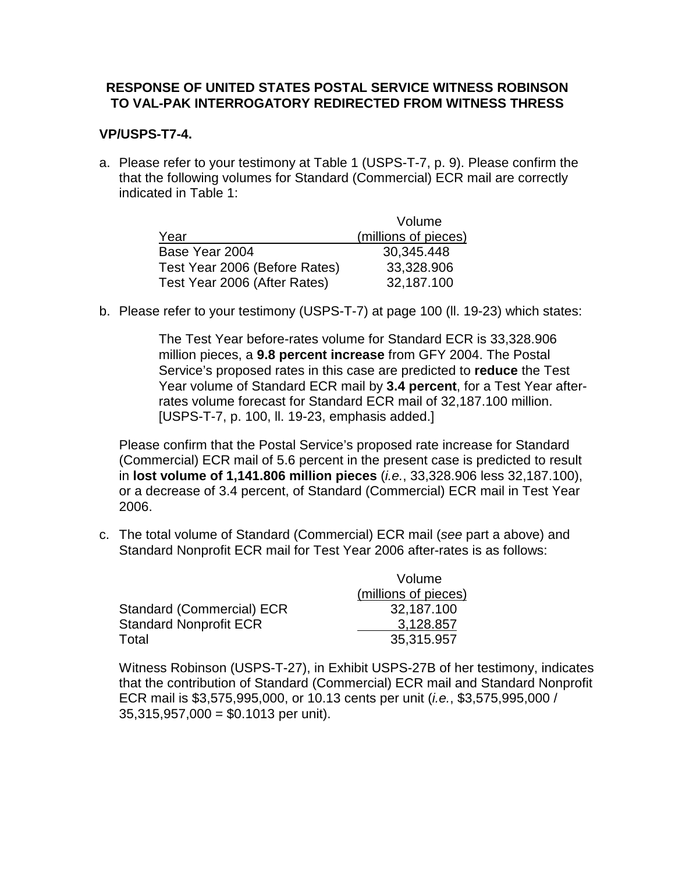### **VP/USPS-T7-4.**

a. Please refer to your testimony at Table 1 (USPS-T-7, p. 9). Please confirm the that the following volumes for Standard (Commercial) ECR mail are correctly indicated in Table 1:

|                               | Volume               |
|-------------------------------|----------------------|
| Year                          | (millions of pieces) |
| Base Year 2004                | 30,345.448           |
| Test Year 2006 (Before Rates) | 33,328.906           |
| Test Year 2006 (After Rates)  | 32,187.100           |

b. Please refer to your testimony (USPS-T-7) at page 100 (ll. 19-23) which states:

The Test Year before-rates volume for Standard ECR is 33,328.906 million pieces, a **9.8 percent increase** from GFY 2004. The Postal Service's proposed rates in this case are predicted to **reduce** the Test Year volume of Standard ECR mail by **3.4 percent**, for a Test Year afterrates volume forecast for Standard ECR mail of 32,187.100 million. [USPS-T-7, p. 100, ll. 19-23, emphasis added.]

Please confirm that the Postal Service's proposed rate increase for Standard (Commercial) ECR mail of 5.6 percent in the present case is predicted to result in **lost volume of 1,141.806 million pieces** (i.e., 33,328.906 less 32,187.100), or a decrease of 3.4 percent, of Standard (Commercial) ECR mail in Test Year 2006.

c. The total volume of Standard (Commercial) ECR mail (see part a above) and Standard Nonprofit ECR mail for Test Year 2006 after-rates is as follows:

|                               | Volume               |
|-------------------------------|----------------------|
|                               | (millions of pieces) |
| Standard (Commercial) ECR     | 32,187.100           |
| <b>Standard Nonprofit ECR</b> | 3,128.857            |
| Total                         | 35,315.957           |

Witness Robinson (USPS-T-27), in Exhibit USPS-27B of her testimony, indicates that the contribution of Standard (Commercial) ECR mail and Standard Nonprofit ECR mail is \$3,575,995,000, or 10.13 cents per unit (i.e., \$3,575,995,000 / 35,315,957,000 = \$0.1013 per unit).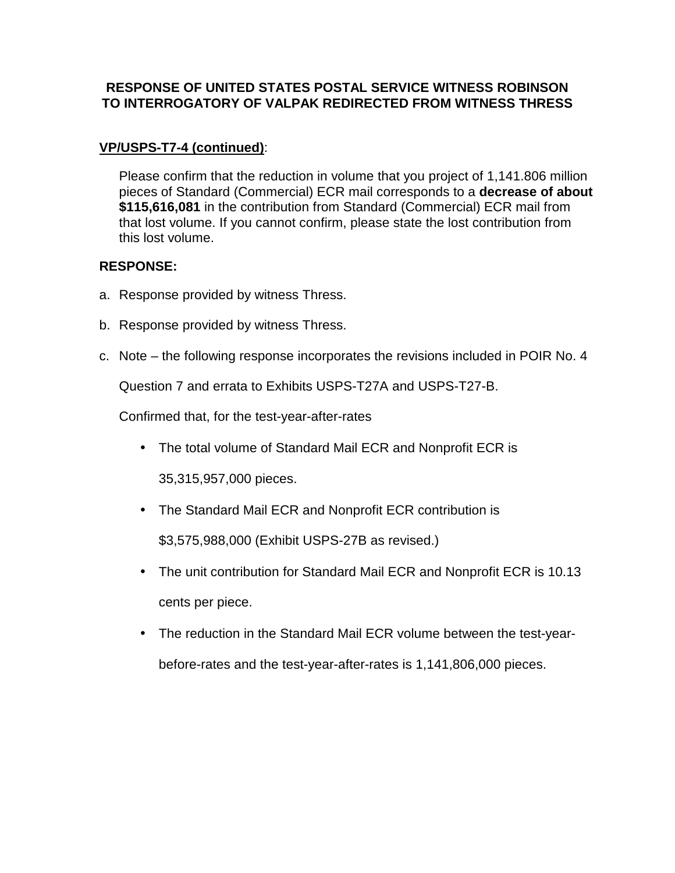# **VP/USPS-T7-4 (continued)**:

Please confirm that the reduction in volume that you project of 1,141.806 million pieces of Standard (Commercial) ECR mail corresponds to a **decrease of about \$115,616,081** in the contribution from Standard (Commercial) ECR mail from that lost volume. If you cannot confirm, please state the lost contribution from this lost volume.

## **RESPONSE:**

- a. Response provided by witness Thress.
- b. Response provided by witness Thress.
- c. Note the following response incorporates the revisions included in POIR No. 4

Question 7 and errata to Exhibits USPS-T27A and USPS-T27-B.

Confirmed that, for the test-year-after-rates

• The total volume of Standard Mail ECR and Nonprofit ECR is

35,315,957,000 pieces.

• The Standard Mail ECR and Nonprofit ECR contribution is

\$3,575,988,000 (Exhibit USPS-27B as revised.)

- The unit contribution for Standard Mail ECR and Nonprofit ECR is 10.13 cents per piece.
- The reduction in the Standard Mail ECR volume between the test-yearbefore-rates and the test-year-after-rates is 1,141,806,000 pieces.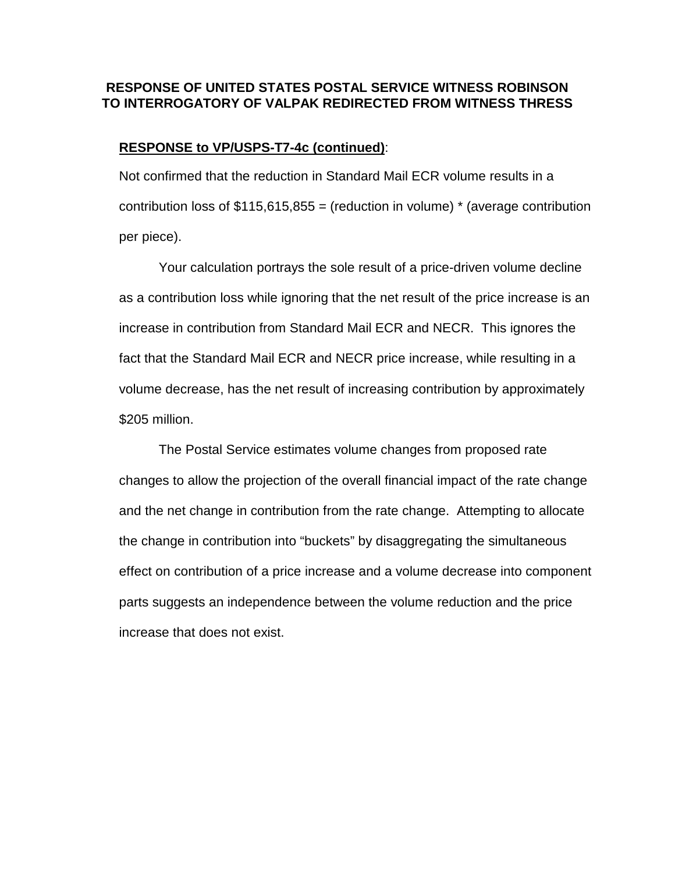#### **RESPONSE to VP/USPS-T7-4c (continued)**:

Not confirmed that the reduction in Standard Mail ECR volume results in a contribution loss of  $$115,615,855 =$  (reduction in volume)  $*$  (average contribution per piece).

Your calculation portrays the sole result of a price-driven volume decline as a contribution loss while ignoring that the net result of the price increase is an increase in contribution from Standard Mail ECR and NECR. This ignores the fact that the Standard Mail ECR and NECR price increase, while resulting in a volume decrease, has the net result of increasing contribution by approximately \$205 million.

The Postal Service estimates volume changes from proposed rate changes to allow the projection of the overall financial impact of the rate change and the net change in contribution from the rate change. Attempting to allocate the change in contribution into "buckets" by disaggregating the simultaneous effect on contribution of a price increase and a volume decrease into component parts suggests an independence between the volume reduction and the price increase that does not exist.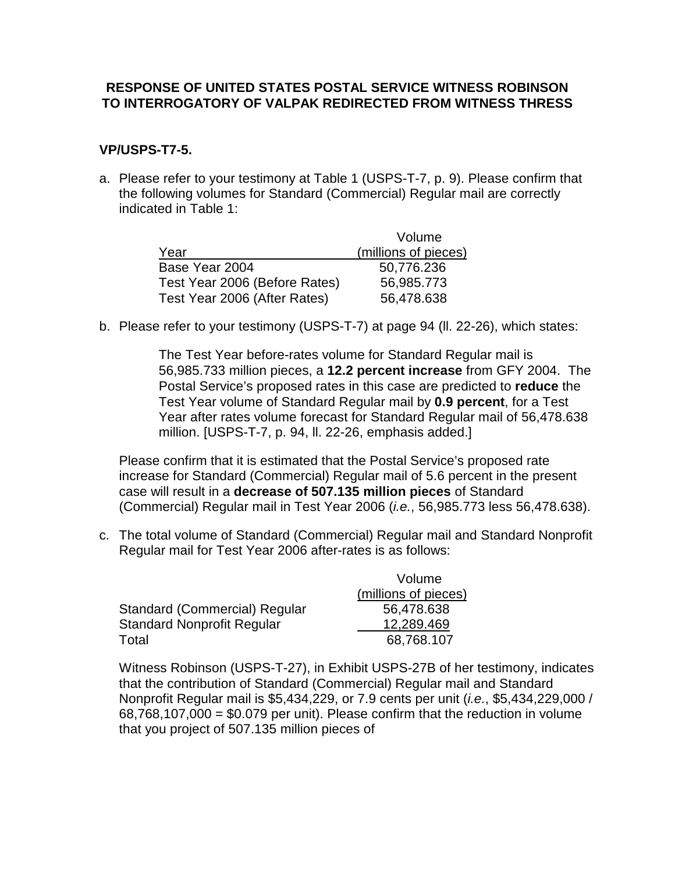## **VP/USPS-T7-5.**

a. Please refer to your testimony at Table 1 (USPS-T-7, p. 9). Please confirm that the following volumes for Standard (Commercial) Regular mail are correctly indicated in Table 1:

|                               | Volume               |
|-------------------------------|----------------------|
| Year                          | (millions of pieces) |
| Base Year 2004                | 50,776.236           |
| Test Year 2006 (Before Rates) | 56,985.773           |
| Test Year 2006 (After Rates)  | 56,478.638           |

b. Please refer to your testimony (USPS-T-7) at page 94 (ll. 22-26), which states:

The Test Year before-rates volume for Standard Regular mail is 56,985.733 million pieces, a **12.2 percent increase** from GFY 2004. The Postal Service's proposed rates in this case are predicted to **reduce** the Test Year volume of Standard Regular mail by **0.9 percent**, for a Test Year after rates volume forecast for Standard Regular mail of 56,478.638 million. [USPS-T-7, p. 94, ll. 22-26, emphasis added.]

Please confirm that it is estimated that the Postal Service's proposed rate increase for Standard (Commercial) Regular mail of 5.6 percent in the present case will result in a **decrease of 507.135 million pieces** of Standard (Commercial) Regular mail in Test Year 2006 (i.e., 56,985.773 less 56,478.638).

c. The total volume of Standard (Commercial) Regular mail and Standard Nonprofit Regular mail for Test Year 2006 after-rates is as follows:

|                                   | Volume               |
|-----------------------------------|----------------------|
|                                   | (millions of pieces) |
| Standard (Commercial) Regular     | 56,478.638           |
| <b>Standard Nonprofit Regular</b> | 12,289.469           |
| Total                             | 68,768.107           |

Witness Robinson (USPS-T-27), in Exhibit USPS-27B of her testimony, indicates that the contribution of Standard (Commercial) Regular mail and Standard Nonprofit Regular mail is \$5,434,229, or 7.9 cents per unit (i.e., \$5,434,229,000 /  $68,768,107,000 = $0.079$  per unit). Please confirm that the reduction in volume that you project of 507.135 million pieces of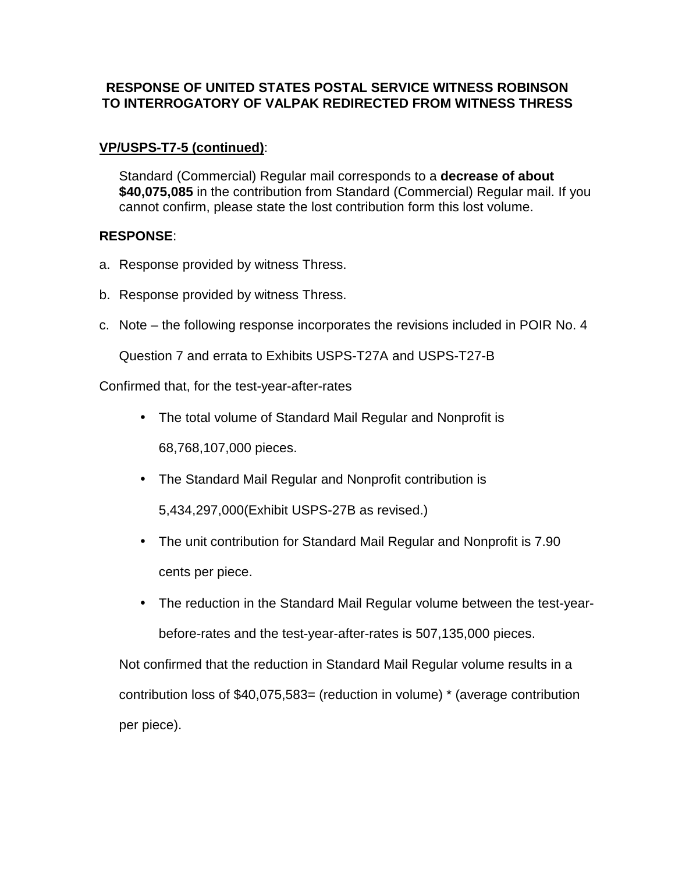# **VP/USPS-T7-5 (continued)**:

Standard (Commercial) Regular mail corresponds to a **decrease of about \$40,075,085** in the contribution from Standard (Commercial) Regular mail. If you cannot confirm, please state the lost contribution form this lost volume.

## **RESPONSE**:

- a. Response provided by witness Thress.
- b. Response provided by witness Thress.
- c. Note the following response incorporates the revisions included in POIR No. 4

Question 7 and errata to Exhibits USPS-T27A and USPS-T27-B

Confirmed that, for the test-year-after-rates

- The total volume of Standard Mail Regular and Nonprofit is 68,768,107,000 pieces.
- The Standard Mail Regular and Nonprofit contribution is 5,434,297,000(Exhibit USPS-27B as revised.)
- The unit contribution for Standard Mail Regular and Nonprofit is 7.90 cents per piece.
- The reduction in the Standard Mail Regular volume between the test-yearbefore-rates and the test-year-after-rates is 507,135,000 pieces.

Not confirmed that the reduction in Standard Mail Regular volume results in a contribution loss of \$40,075,583= (reduction in volume) \* (average contribution per piece).